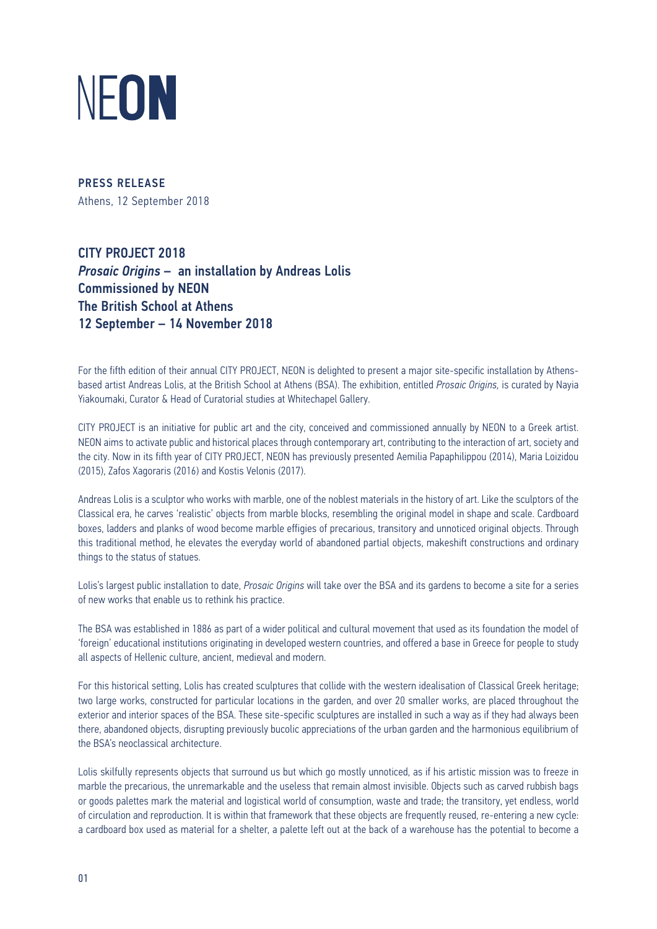

PRESS RELEASE Athens, 12 September 2018

CITY PROJECT 2018 *Prosaic Origins* – an installation by Andreas Lolis Commissioned by NEON The British School at Athens 12 September – 14 November 2018

For the fifth edition of their annual CITY PROJECT, NEON is delighted to present a major site-specific installation by Athensbased artist Andreas Lolis, at the British School at Athens (BSA). The exhibition, entitled *Prosaic Origins,* is curated by Nayia Yiakoumaki, Curator & Head of Curatorial studies at Whitechapel Gallery.

CITY PROJECT is an initiative for public art and the city, conceived and commissioned annually by NEON to a Greek artist. NEON aims to activate public and historical places through contemporary art, contributing to the interaction of art, society and the city. Now in its fifth year of CITY PROJECT, NEON has previously presented Aemilia Papaphilippou (2014), Maria Loizidou (2015), Zafos Xagoraris (2016) and Kostis Velonis (2017).

Andreas Lolis is a sculptor who works with marble, one of the noblest materials in the history of art. Like the sculptors of the Classical era, he carves 'realistic' objects from marble blocks, resembling the original model in shape and scale. Cardboard boxes, ladders and planks of wood become marble effigies of precarious, transitory and unnoticed original objects. Through this traditional method, he elevates the everyday world of abandoned partial objects, makeshift constructions and ordinary things to the status of statues.

Lolis's largest public installation to date, *Prosaic Origins* will take over the BSA and its gardens to become a site for a series of new works that enable us to rethink his practice.

The BSA was established in 1886 as part of a wider political and cultural movement that used as its foundation the model of 'foreign' educational institutions originating in developed western countries, and offered a base in Greece for people to study all aspects of Hellenic culture, ancient, medieval and modern.

For this historical setting, Lolis has created sculptures that collide with the western idealisation of Classical Greek heritage; two large works, constructed for particular locations in the garden, and over 20 smaller works, are placed throughout the exterior and interior spaces of the BSA. These site-specific sculptures are installed in such a way as if they had always been there, abandoned objects, disrupting previously bucolic appreciations of the urban garden and the harmonious equilibrium of the BSA's neoclassical architecture.

Lolis skilfully represents objects that surround us but which go mostly unnoticed, as if his artistic mission was to freeze in marble the precarious, the unremarkable and the useless that remain almost invisible. Objects such as carved rubbish bags or goods palettes mark the material and logistical world of consumption, waste and trade; the transitory, yet endless, world of circulation and reproduction. It is within that framework that these objects are frequently reused, re-entering a new cycle: a cardboard box used as material for a shelter, a palette left out at the back of a warehouse has the potential to become a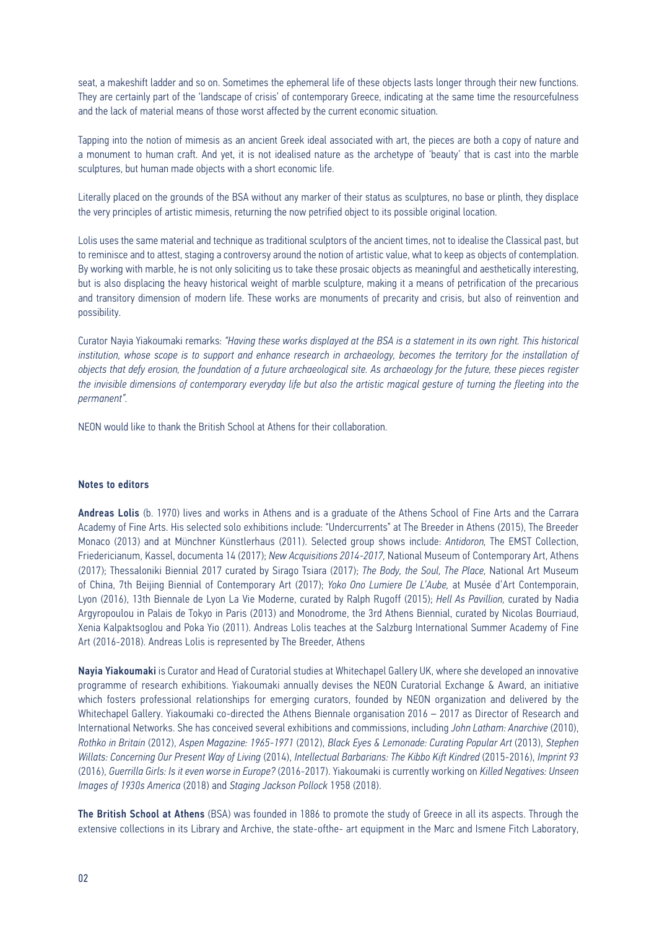seat, a makeshift ladder and so on. Sometimes the ephemeral life of these objects lasts longer through their new functions. They are certainly part of the 'landscape of crisis' of contemporary Greece, indicating at the same time the resourcefulness and the lack of material means of those worst affected by the current economic situation.

Tapping into the notion of mimesis as an ancient Greek ideal associated with art, the pieces are both a copy of nature and a monument to human craft. And yet, it is not idealised nature as the archetype of 'beauty' that is cast into the marble sculptures, but human made objects with a short economic life.

Literally placed on the grounds of the BSA without any marker of their status as sculptures, no base or plinth, they displace the very principles of artistic mimesis, returning the now petrified object to its possible original location.

Lolis uses the same material and technique as traditional sculptors of the ancient times, not to idealise the Classical past, but to reminisce and to attest, staging a controversy around the notion of artistic value, what to keep as objects of contemplation. By working with marble, he is not only soliciting us to take these prosaic objects as meaningful and aesthetically interesting, but is also displacing the heavy historical weight of marble sculpture, making it a means of petrification of the precarious and transitory dimension of modern life. These works are monuments of precarity and crisis, but also of reinvention and possibility.

Curator Nayia Yiakoumaki remarks: *"Having these works displayed at the BSA is a statement in its own right. This historical institution, whose scope is to support and enhance research in archaeology, becomes the territory for the installation of objects that defy erosion, the foundation of a future archaeological site. As archaeology for the future, these pieces register the invisible dimensions of contemporary everyday life but also the artistic magical gesture of turning the fleeting into the permanent".*

NEON would like to thank the British School at Athens for their collaboration.

## Notes to editors

Andreas Lolis (b. 1970) lives and works in Athens and is a graduate of the Athens School of Fine Arts and the Carrara Academy of Fine Arts. His selected solo exhibitions include: "Undercurrents" at The Breeder in Athens (2015), The Breeder Monaco (2013) and at Mϋnchner Kϋnstlerhaus (2011). Selected group shows include: *Antidoron,* The EMST Collection, Friedericianum, Kassel, documenta 14 (2017); *New Acquisitions 2014-2017,* National Museum of Contemporary Art, Athens (2017); Thessaloniki Biennial 2017 curated by Sirago Tsiara (2017); *The Body, the Soul, The Place,* National Art Museum of China, 7th Beijing Biennial of Contemporary Art (2017); *Yoko Ono Lumiere De L'Aube,* at Musée d'Art Contemporain, Lyon (2016), 13th Biennale de Lyon La Vie Moderne, curated by Ralph Rugoff (2015); *Hell As Pavillion,* curated by Nadia Argyropoulou in Palais de Tokyo in Paris (2013) and Monodrome, the 3rd Athens Biennial, curated by Nicolas Bourriaud, Xenia Kalpaktsoglou and Poka Yio (2011). Andreas Lolis teaches at the Salzburg International Summer Academy of Fine Art (2016-2018). Andreas Lolis is represented by The Breeder, Athens

Nayia Yiakoumaki is Curator and Head of Curatorial studies at Whitechapel Gallery UK, where she developed an innovative programme of research exhibitions. Yiakoumaki annually devises the NEON Curatorial Exchange & Award, an initiative which fosters professional relationships for emerging curators, founded by NEON organization and delivered by the Whitechapel Gallery. Yiakoumaki co-directed the Athens Biennale organisation 2016 – 2017 as Director of Research and International Networks. She has conceived several exhibitions and commissions, including *John Latham: Anarchive* (2010), *Rothko in Britain* (2012), *Aspen Magazine: 1965-1971* (2012), *Black Eyes & Lemonade: Curating Popular Art* (2013), *Stephen Willats: Concerning Our Present Way of Living* (2014), *Intellectual Barbarians: The Kibbo Kift Kindred* (2015-2016), *Imprint 93*  (2016), *Guerrilla Girls: Is it even worse in Europe?* (2016-2017). Yiakoumaki is currently working on *Killed Negatives: Unseen Images of 1930s America* (2018) and *Staging Jackson Pollock* 1958 (2018).

The British School at Athens (BSA) was founded in 1886 to promote the study of Greece in all its aspects. Through the extensive collections in its Library and Archive, the state-ofthe- art equipment in the Marc and Ismene Fitch Laboratory,